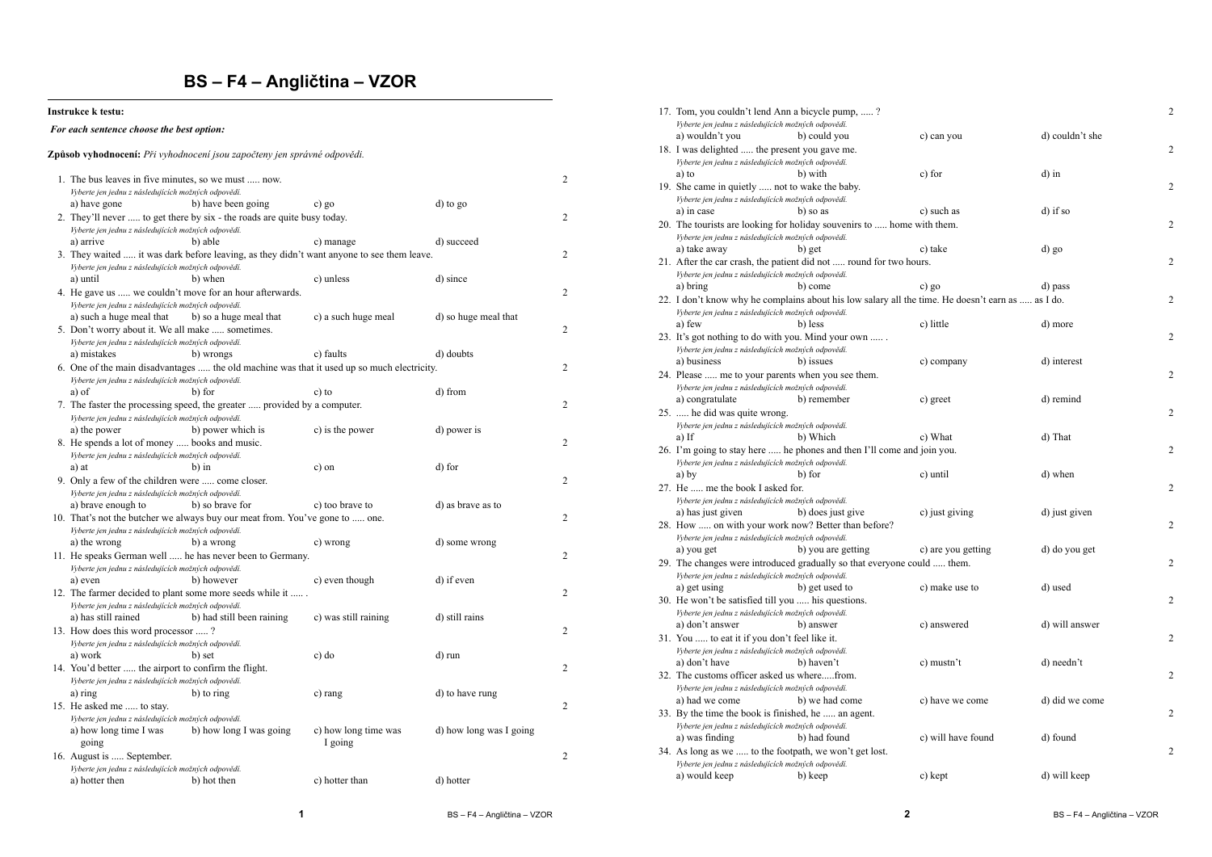## **BS – F4 – Angličtina – VZOR**

#### **Instrukce k testu:**

### *For each sentence choose the best option:*

#### **Způsob vyhodnocení:** *Při vyhodnocení jsou započteny jen správné odpovědi.*

| 1. The bus leaves in five minutes, so we must  now.                                                                                 |                                                                                            |                      |                         | $\overline{\mathbf{c}}$ |
|-------------------------------------------------------------------------------------------------------------------------------------|--------------------------------------------------------------------------------------------|----------------------|-------------------------|-------------------------|
| Vyberte jen jednu z následujících možných odpovědí.                                                                                 |                                                                                            |                      |                         |                         |
| a) have gone                                                                                                                        | b) have been going                                                                         | c) go                | d) to go                |                         |
| 2. They'll never  to get there by six - the roads are quite busy today.                                                             |                                                                                            |                      |                         |                         |
| Vyberte jen jednu z následujících možných odpovědí.                                                                                 |                                                                                            |                      |                         |                         |
| a) arrive                                                                                                                           | b) able                                                                                    | c) manage            | d) succeed              |                         |
|                                                                                                                                     | 3. They waited  it was dark before leaving, as they didn't want anyone to see them leave.  |                      |                         | $\overline{c}$          |
| Vyberte jen jednu z následujících možných odpovědí.                                                                                 |                                                                                            |                      |                         |                         |
| a) until                                                                                                                            | b) when                                                                                    | c) unless            | d) since                |                         |
| 4. He gave us  we couldn't move for an hour afterwards.                                                                             |                                                                                            |                      |                         | $\overline{c}$          |
| Vyberte jen jednu z následujících možných odpovědí.                                                                                 |                                                                                            |                      |                         |                         |
| a) such a huge meal that                                                                                                            | b) so a huge meal that                                                                     | c) a such huge meal  | d) so huge meal that    |                         |
| 5. Don't worry about it. We all make  sometimes.                                                                                    |                                                                                            |                      |                         | 2                       |
| Vyberte jen jednu z následujících možných odpovědí.                                                                                 |                                                                                            |                      |                         |                         |
| a) mistakes                                                                                                                         | b) wrongs                                                                                  | c) faults            | d) doubts               |                         |
|                                                                                                                                     | 6. One of the main disadvantages  the old machine was that it used up so much electricity. |                      |                         | $\overline{2}$          |
| Vyberte jen jednu z následujících možných odpovědí.                                                                                 |                                                                                            |                      |                         |                         |
| a) of                                                                                                                               | b) for                                                                                     | c) to                | d) from                 |                         |
|                                                                                                                                     | 7. The faster the processing speed, the greater  provided by a computer.                   |                      |                         | 2                       |
| Vyberte jen jednu z následujících možných odpovědí.                                                                                 |                                                                                            |                      |                         |                         |
| a) the power                                                                                                                        | b) power which is                                                                          | c) is the power      | d) power is             |                         |
| 8. He spends a lot of money  books and music.                                                                                       |                                                                                            |                      |                         | $\overline{c}$          |
| Vyberte jen jednu z následujících možných odpovědí.                                                                                 |                                                                                            |                      |                         |                         |
| a) at                                                                                                                               | b) in                                                                                      | c) on                | d) for                  |                         |
|                                                                                                                                     |                                                                                            |                      |                         | $\overline{c}$          |
| 9. Only a few of the children were  come closer.                                                                                    |                                                                                            |                      |                         |                         |
| Vyberte jen jednu z následujících možných odpovědí.                                                                                 | b) so brave for                                                                            |                      |                         |                         |
| a) brave enough to                                                                                                                  |                                                                                            | c) too brave to      | d) as brave as to       | $\overline{2}$          |
| 10. That's not the butcher we always buy our meat from. You've gone to  one.<br>Vyberte jen jednu z následujících možných odpovědí. |                                                                                            |                      |                         |                         |
|                                                                                                                                     |                                                                                            |                      |                         |                         |
| a) the wrong                                                                                                                        | b) a wrong                                                                                 | c) wrong             | d) some wrong           |                         |
| 11. He speaks German well  he has never been to Germany.                                                                            |                                                                                            |                      |                         | $\overline{2}$          |
| Vyberte jen jednu z následujících možných odpovědí.                                                                                 |                                                                                            |                      |                         |                         |
| a) even                                                                                                                             | b) however                                                                                 | c) even though       | d) if even              |                         |
| 12. The farmer decided to plant some more seeds while it                                                                            |                                                                                            |                      |                         | $\overline{2}$          |
| Vyberte jen jednu z následujících možných odpovědí.                                                                                 |                                                                                            |                      |                         |                         |
| a) has still rained                                                                                                                 | b) had still been raining                                                                  | c) was still raining | d) still rains          |                         |
| 13. How does this word processor ?                                                                                                  |                                                                                            |                      |                         | $\overline{2}$          |
| Vyberte jen jednu z následujících možných odpovědí.                                                                                 |                                                                                            |                      |                         |                         |
| a) work                                                                                                                             | b) set                                                                                     | $c)$ do              | d) run                  |                         |
| 14. You'd better  the airport to confirm the flight.                                                                                |                                                                                            |                      |                         | $\overline{c}$          |
| Vyberte jen jednu z následujících možných odpovědí.                                                                                 |                                                                                            |                      |                         |                         |
| a) ring                                                                                                                             | b) to ring                                                                                 | c) rang              | d) to have rung         |                         |
| 15. He asked me  to stay.                                                                                                           |                                                                                            |                      |                         | $\overline{c}$          |
| Vyberte jen jednu z následujících možných odpovědí.                                                                                 |                                                                                            |                      |                         |                         |
| a) how long time I was                                                                                                              | b) how long I was going                                                                    | c) how long time was | d) how long was I going |                         |
| going                                                                                                                               |                                                                                            | I going              |                         |                         |
| 16. August is  September.                                                                                                           |                                                                                            |                      |                         | $\overline{c}$          |
| Vyberte jen jednu z následujících možných odpovědí.                                                                                 |                                                                                            |                      |                         |                         |
| a) hotter then                                                                                                                      | b) hot then                                                                                | c) hotter than       | d) hotter               |                         |
|                                                                                                                                     |                                                                                            |                      |                         |                         |

|                                                     | 17. Tom, you couldn't lend Ann a bicycle pump, ?                                                  |                    |                 | 2              |  |
|-----------------------------------------------------|---------------------------------------------------------------------------------------------------|--------------------|-----------------|----------------|--|
|                                                     | Vyberte jen jednu z následujících možných odpovědí.                                               |                    |                 |                |  |
|                                                     | a) wouldn't you<br>b) could you                                                                   | c) can you         | d) couldn't she |                |  |
|                                                     | 18. I was delighted  the present you gave me.                                                     |                    |                 | $\overline{c}$ |  |
|                                                     | Vyberte jen jednu z následujících možných odpovědí.                                               |                    |                 |                |  |
|                                                     | a) to<br>b) with                                                                                  | c) for             | $d$ ) in        |                |  |
|                                                     | 19. She came in quietly  not to wake the baby.                                                    |                    |                 | $\overline{c}$ |  |
|                                                     | Vyberte jen jednu z následujících možných odpovědí.                                               |                    |                 |                |  |
|                                                     | a) in case<br>b) so as                                                                            | c) such as         | d) if so        |                |  |
|                                                     | 20. The tourists are looking for holiday souvenirs to  home with them.                            |                    |                 | 2              |  |
|                                                     | Vyberte jen jednu z následujících možných odpovědí.                                               |                    |                 |                |  |
|                                                     | a) take away<br>b) get                                                                            | c) take            | d) go           |                |  |
|                                                     | 21. After the car crash, the patient did not  round for two hours.                                |                    |                 | $\overline{c}$ |  |
|                                                     | Vyberte jen jednu z následujících možných odpovědí.                                               |                    |                 |                |  |
|                                                     | a) bring<br>b) come                                                                               | c) go              | d) pass         |                |  |
|                                                     | 22. I don't know why he complains about his low salary all the time. He doesn't earn as  as I do. |                    |                 | 2              |  |
|                                                     | Vyberte jen jednu z následujících možných odpovědí.                                               |                    |                 |                |  |
|                                                     | a) few<br>b) less                                                                                 | c) little          | d) more         |                |  |
|                                                     |                                                                                                   |                    |                 | 2              |  |
|                                                     | 23. It's got nothing to do with you. Mind your own                                                |                    |                 |                |  |
|                                                     | Vyberte jen jednu z následujících možných odpovědí.<br>b) issues                                  |                    | d) interest     |                |  |
|                                                     | a) business                                                                                       | c) company         |                 | $\overline{c}$ |  |
|                                                     | 24. Please  me to your parents when you see them.                                                 |                    |                 |                |  |
|                                                     | Vyberte jen jednu z následujících možných odpovědí.                                               |                    | d) remind       |                |  |
|                                                     | a) congratulate<br>b) remember                                                                    | c) greet           |                 |                |  |
|                                                     | 25.  he did was quite wrong.                                                                      |                    |                 | $\overline{c}$ |  |
|                                                     | Vyberte jen jednu z následujících možných odpovědí.                                               |                    |                 |                |  |
|                                                     | b) Which<br>a) If                                                                                 | c) What            | d) That         |                |  |
|                                                     | 26. I'm going to stay here  he phones and then I'll come and join you.                            |                    |                 | $\overline{c}$ |  |
|                                                     | Vyberte jen jednu z následujících možných odpovědí.                                               |                    |                 |                |  |
|                                                     | a) by<br>b) for                                                                                   | c) until           | d) when         |                |  |
|                                                     | 27. He  me the book I asked for.                                                                  |                    |                 | $\overline{c}$ |  |
|                                                     | Vyberte jen jednu z následujících možných odpovědí.                                               |                    |                 |                |  |
|                                                     | b) does just give<br>a) has just given                                                            | c) just giving     | d) just given   | 2              |  |
| 28. How  on with your work now? Better than before? |                                                                                                   |                    |                 |                |  |
|                                                     | Vyberte jen jednu z následujících možných odpovědí.                                               |                    |                 |                |  |
|                                                     | b) you are getting<br>a) you get                                                                  | c) are you getting | d) do you get   |                |  |
|                                                     | 29. The changes were introduced gradually so that everyone could  them.                           |                    |                 | $\overline{2}$ |  |
|                                                     | Vyberte jen jednu z následujících možných odpovědí.                                               |                    |                 |                |  |
|                                                     | a) get using<br>b) get used to                                                                    | c) make use to     | d) used         |                |  |
|                                                     | 30. He won't be satisfied till you  his questions.                                                |                    |                 | 2              |  |
|                                                     | Vyberte jen jednu z následujících možných odpovědí.                                               |                    |                 |                |  |
|                                                     | a) don't answer<br>b) answer                                                                      | c) answered        | d) will answer  |                |  |
|                                                     | 31. You  to eat it if you don't feel like it.                                                     |                    |                 | 2              |  |
|                                                     | Vyberte jen jednu z následujících možných odpovědí.                                               |                    |                 |                |  |
|                                                     | a) don't have<br>b) haven't                                                                       | c) mustn't         | d) needn't      |                |  |
|                                                     | 32. The customs officer asked us wherefrom.                                                       |                    |                 | 2              |  |
|                                                     | Vyberte jen jednu z následujících možných odpovědí.                                               |                    |                 |                |  |
|                                                     | a) had we come<br>b) we had come                                                                  | c) have we come    | d) did we come  |                |  |
|                                                     | 33. By the time the book is finished, he  an agent.                                               |                    |                 | 2              |  |
|                                                     | Vyberte jen jednu z následujících možných odpovědí.                                               |                    |                 |                |  |
|                                                     | a) was finding<br>b) had found                                                                    | c) will have found | d) found        |                |  |
|                                                     | 34. As long as we  to the footpath, we won't get lost.                                            |                    |                 | $\overline{c}$ |  |
|                                                     | Vyberte jen jednu z následujících možných odpovědí.                                               |                    |                 |                |  |
|                                                     | a) would keep<br>b) keep                                                                          | c) kept            | d) will keep    |                |  |
|                                                     |                                                                                                   |                    |                 |                |  |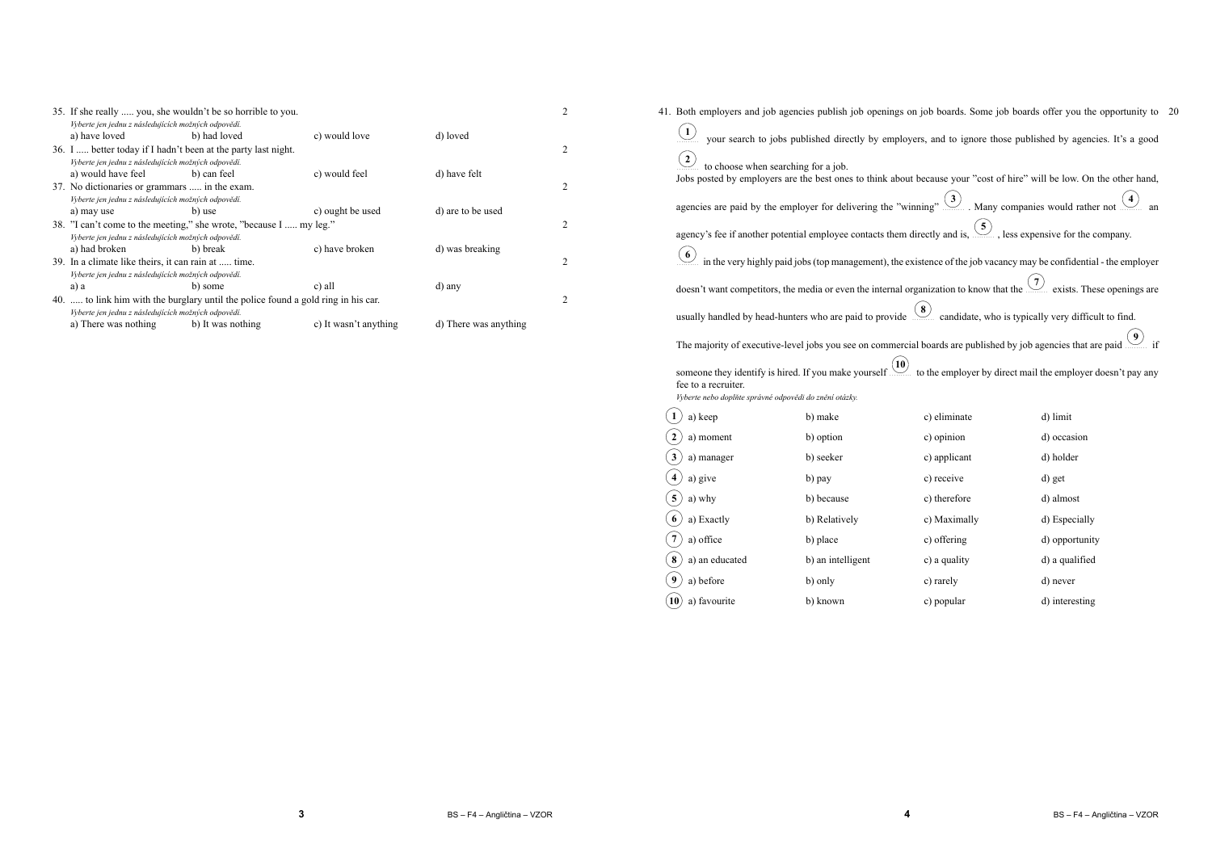| 35. If she really  you, she wouldn't be so horrible to you.                       |                   |                       |                       | $\overline{c}$ |
|-----------------------------------------------------------------------------------|-------------------|-----------------------|-----------------------|----------------|
| Vyberte jen jednu z následujících možných odpovědí.                               |                   |                       |                       |                |
| a) have loved                                                                     | b) had loved      | c) would love         | d) loved              |                |
| 36. I  better today if I hadn't been at the party last night.                     |                   |                       |                       | $\overline{2}$ |
| Vyberte jen jednu z následujících možných odpovědí.                               |                   |                       |                       |                |
| a) would have feel                                                                | b) can feel       | c) would feel         | d) have felt          |                |
| 37. No dictionaries or grammars  in the exam.                                     |                   |                       |                       | $\overline{2}$ |
| Vyberte jen jednu z následujících možných odpovědí.                               |                   |                       |                       |                |
| a) may use                                                                        | b) use            | c) ought be used      | d) are to be used     |                |
| 38. "I can't come to the meeting," she wrote, "because I  my leg."                |                   |                       |                       |                |
| Vyberte jen jednu z následujících možných odpovědí.                               |                   |                       |                       |                |
| a) had broken                                                                     | b) break          | c) have broken        | d) was breaking       |                |
| 39. In a climate like theirs, it can rain at  time.                               |                   |                       |                       | $\overline{c}$ |
| Vyberte jen jednu z následujících možných odpovědí.                               |                   |                       |                       |                |
| a) a                                                                              | b) some           | c) all                | d) any                |                |
| 40.  to link him with the burglary until the police found a gold ring in his car. |                   |                       |                       |                |
| Vyberte jen jednu z následujících možných odpovědí.                               |                   |                       |                       |                |
| a) There was nothing                                                              | b) It was nothing | c) It wasn't anything | d) There was anything |                |
|                                                                                   |                   |                       |                       |                |

41. Both employers and job agencies publish job openings on job boards. Some job boards offer you the opportunity to <sup>20</sup> ✍✌✎☞**1** ✍✌✎☞**2** your search to jobs published directly by employers, and to ignore those published by agencies. It's a good . . . . . . . . . . Jobs posted by employers are the best ones to think about because your "cost of hire" will be low. On the other hand, to choose when searching for a job.agencies are paid by the employer for delivering the "winning" <sup>3</sup>
. Many companies would rather not <sup>4</sup> an agency's fee if another potential employee contacts them directly and is, <u>5</u>, less expensive for the company. in the very highly paid jobs (top management), the existence of the job vacancy may be confidential - the employer✍✌✎☞**6**doesn't want competitors, the media or even the internal organization to know that the <u>10</u> exists. These openings are usually handled by head-hunters who are paid to provide <u>(8)</u> candidate, who is typically very difficult to find. The majority of executive-level jobs you see on commercial boards are published by job agencies that are paid  $\circled{9}$  if someone they identify is hired. If you make yourself  $\Box$  to the employer by direct mail the employer doesn't pay any fee to a recruiter. *Vyberte nebo doplňte správné odpovědi do znění otázky.*✍✌✎☞**1** a) keep b) make c) eliminate d) limit ✍✌✎☞**2** a) moment b) optionc) opinion d) occasion

| $\sim$ / a) moment               | <b>D</b> Option   | c) ophthon   | a) occasion    |
|----------------------------------|-------------------|--------------|----------------|
| $\mathbf{3}$<br>a) manager       | b) seeker         | c) applicant | d) holder      |
| a) give                          | b) pay            | c) receive   | d) get         |
| 5 <sup>2</sup><br>a) why         | b) because        | c) therefore | d) almost      |
| a) Exactly                       | b) Relatively     | c) Maximally | d) Especially  |
| a) office                        | b) place          | c) offering  | d) opportunity |
| 8 <sup>2</sup><br>a) an educated | b) an intelligent | c) a quality | d) a qualified |
| a) before                        | b) only           | c) rarely    | d) never       |
| $(10)$ a) favourite              | b) known          | c) popular   | d) interesting |
|                                  |                   |              |                |

**4**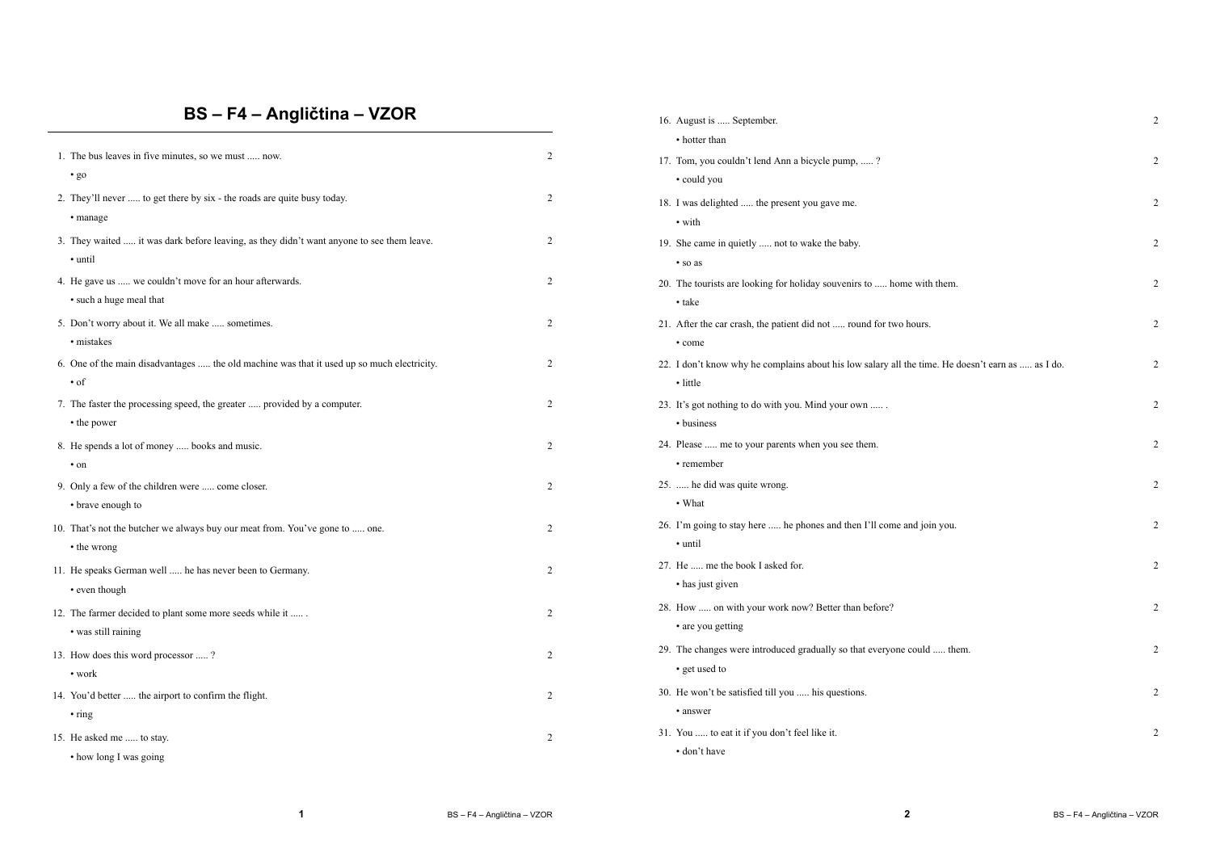# **BS – F4 – Angličtina – VZOR**

|                                                                                            |                | • hotter than                                                                                     |                |
|--------------------------------------------------------------------------------------------|----------------|---------------------------------------------------------------------------------------------------|----------------|
| 1. The bus leaves in five minutes, so we must  now.                                        | $\overline{2}$ | 17. Tom, you couldn't lend Ann a bicycle pump, ?                                                  | $\overline{c}$ |
| $\cdot$ go                                                                                 |                | • could you                                                                                       |                |
| 2. They'll never  to get there by six - the roads are quite busy today.                    | 2              | 18. I was delighted  the present you gave me.                                                     | $\overline{2}$ |
| • manage                                                                                   |                | • with                                                                                            |                |
| 3. They waited  it was dark before leaving, as they didn't want anyone to see them leave.  | 2              | 19. She came in quietly  not to wake the baby.                                                    | $\overline{c}$ |
| • until                                                                                    |                | · so as                                                                                           |                |
| 4. He gave us  we couldn't move for an hour afterwards.                                    | 2              | 20. The tourists are looking for holiday souvenirs to  home with them.                            | $\overline{2}$ |
| • such a huge meal that                                                                    |                | • take                                                                                            |                |
| 5. Don't worry about it. We all make  sometimes.                                           | 2              | 21. After the car crash, the patient did not  round for two hours.                                | $\overline{2}$ |
| • mistakes                                                                                 |                | • come                                                                                            |                |
| 6. One of the main disadvantages  the old machine was that it used up so much electricity. | 2              | 22. I don't know why he complains about his low salary all the time. He doesn't earn as  as I do. | $\overline{2}$ |
| $\cdot$ of                                                                                 |                | • little                                                                                          |                |
| 7. The faster the processing speed, the greater  provided by a computer.                   | 2              | 23. It's got nothing to do with you. Mind your own                                                | $\overline{2}$ |
| • the power                                                                                |                | • business                                                                                        |                |
| 8. He spends a lot of money  books and music.                                              | 2              | 24. Please  me to your parents when you see them.                                                 | $\overline{2}$ |
| $\cdot$ on                                                                                 |                | • remember                                                                                        |                |
| 9. Only a few of the children were  come closer.                                           | 2              | 25.  he did was quite wrong.                                                                      | $\overline{2}$ |
| • brave enough to                                                                          |                | • What                                                                                            |                |
| 10. That's not the butcher we always buy our meat from. You've gone to  one.               | 2              | 26. I'm going to stay here  he phones and then I'll come and join you.                            | $\overline{2}$ |
| • the wrong                                                                                |                | • until                                                                                           |                |
| 11. He speaks German well  he has never been to Germany.                                   | 2              | 27. He  me the book I asked for.                                                                  | $\overline{2}$ |
| • even though                                                                              |                | • has just given                                                                                  |                |
| 12. The farmer decided to plant some more seeds while it                                   | 2              | 28. How  on with your work now? Better than before?                                               | $\overline{2}$ |
| • was still raining                                                                        |                | • are you getting                                                                                 |                |
| 13. How does this word processor ?                                                         | 2              | 29. The changes were introduced gradually so that everyone could  them.                           | $\overline{2}$ |
| $\cdot$ work                                                                               |                | • get used to                                                                                     |                |
| 14. You'd better  the airport to confirm the flight.                                       | 2              | 30. He won't be satisfied till you  his questions.                                                | $\overline{2}$ |
| $\cdot$ ring                                                                               |                | • answer                                                                                          |                |
| 15. He asked me  to stay.                                                                  | 2              | 31. You  to eat it if you don't feel like it.                                                     | $\overline{2}$ |
| • how long I was going                                                                     |                | · don't have                                                                                      |                |
|                                                                                            |                |                                                                                                   |                |

16. August is ..... September. 2